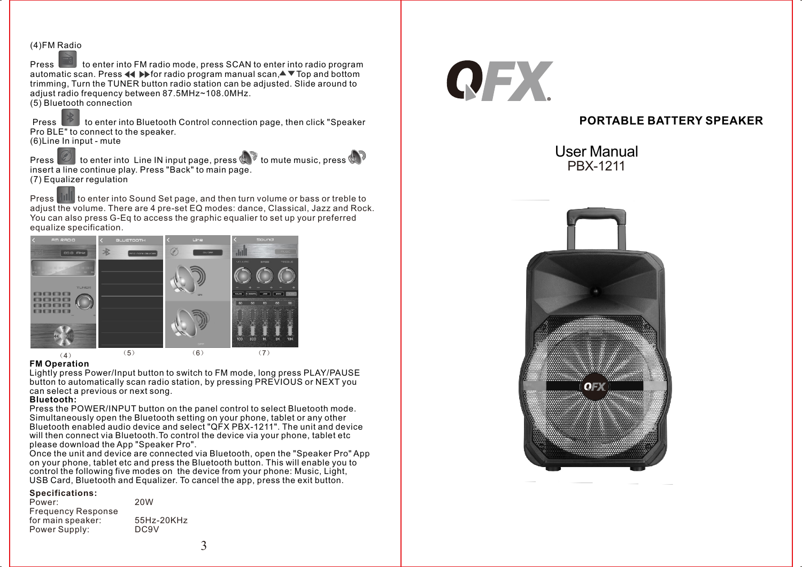### (4)FM R<u>adi</u>o

**Press to enter into FM radio mode, press SCAN to enter into radio program** automatic scan. Press  $\blacktriangleleft \blacktriangleright$  for radio program manual scan, $\blacktriangle$  $\blacktriangleright$  Top and bottom trimming, Turn the TUNER button radio station can be adjusted. Slide around to adjust radio frequency between 87.5MHz~108.0MHz. (5) Bluetooth connection

Press to enter into Bluetooth Control connection page, then click "Speaker Pro BLE" to connect to the speaker. (6)Line In input - mute

Press  $\Box$  to enter into Line IN input page, press  $\Box$  to mute music, press  $\Box$ insert a line continue play. Press "Back" to main page. (7) Equalizer regulation

Press **that** to enter into Sound Set page, and then turn volume or bass or treble to adjust the volume. There are 4 pre-set EQ modes: dance, Classical, Jazz and Rock. You can also press G-Eq to access the graphic equalier to set up your preferred equalize specification.



### **FM Operation**

Lightly press Power/Input button to switch to FM mode, long press PLAY/PAUSE button to automatically scan radio station, by pressing PREVIOUS or NEXT you can select a previous or next song.

### **Bluetooth:**

Press the POWER/INPUT button on the panel control to select Bluetooth mode. Simultaneously open the Bluetooth setting on your phone, tablet or any other Bluetooth enabled audio device and select "QFX PBX-1211". The unit and device will then connect via Bluetooth.To control the device via your phone, tablet etc please download the App "Speaker Pro".

Once the unit and device are connected via Bluetooth, open the "Speaker Pro" App on your phone, tablet etc and press the Bluetooth button. This will enable you to control the following five modes on the device from your phone: Music, Light, USB Card, Bluetooth and Equalizer. To cancel the app, press the exit button.

### **Specifications:**

| 20W               |
|-------------------|
|                   |
| 55Hz-20KHz        |
| DC <sub>9</sub> V |
|                   |



# **PORTABLE BATTERY SPEAKER**

User Manual PBX-1211